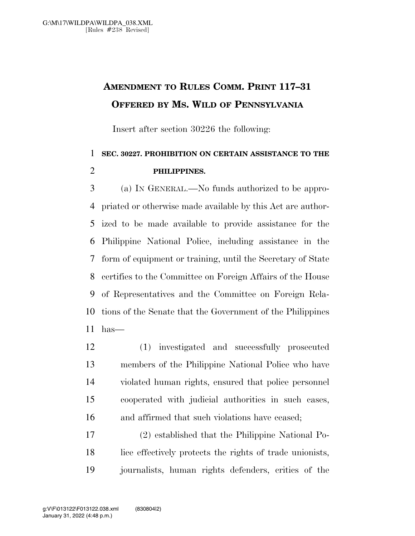## **AMENDMENT TO RULES COMM. PRINT 117–31 OFFERED BY MS. WILD OF PENNSYLVANIA**

Insert after section 30226 the following:

## **SEC. 30227. PROHIBITION ON CERTAIN ASSISTANCE TO THE PHILIPPINES.**

 (a) IN GENERAL.—No funds authorized to be appro- priated or otherwise made available by this Act are author- ized to be made available to provide assistance for the Philippine National Police, including assistance in the form of equipment or training, until the Secretary of State certifies to the Committee on Foreign Affairs of the House of Representatives and the Committee on Foreign Rela- tions of the Senate that the Government of the Philippines has—

 (1) investigated and successfully prosecuted members of the Philippine National Police who have violated human rights, ensured that police personnel cooperated with judicial authorities in such cases, and affirmed that such violations have ceased;

 (2) established that the Philippine National Po- lice effectively protects the rights of trade unionists, journalists, human rights defenders, critics of the